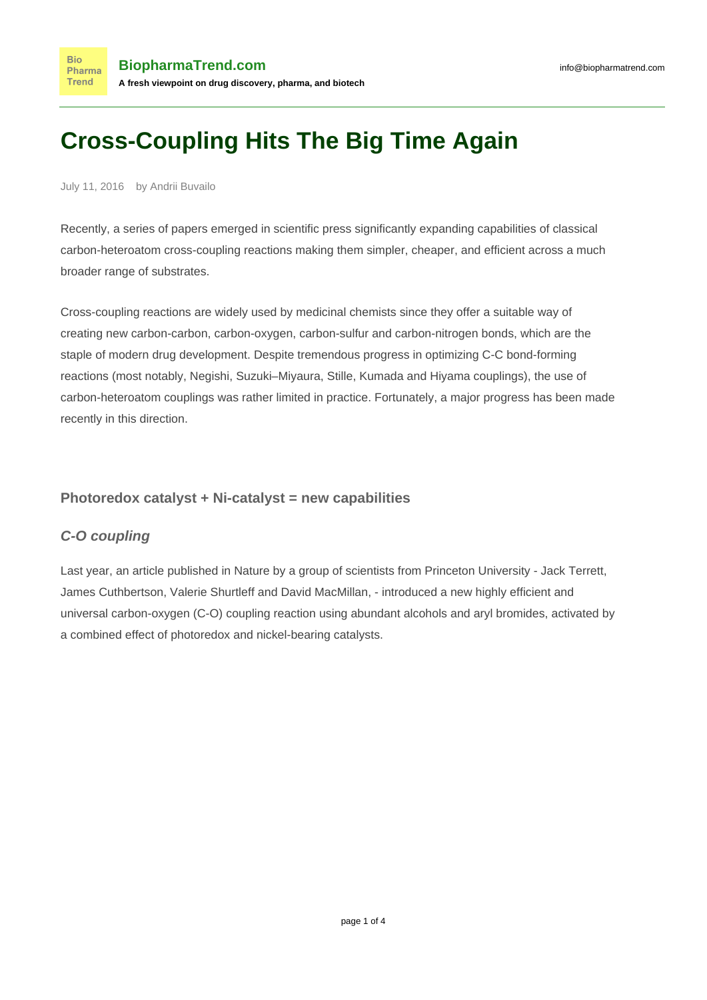# **Cross-Coupling Hits The Big Time Again**

July 11, 2016 by Andrii Buvailo

**Bio** 

Recently, a series of papers emerged in scientific press significantly expanding capabilities of classical carbon-heteroatom cross-coupling reactions making them simpler, cheaper, and efficient across a much broader range of substrates.

Cross-coupling reactions are widely used by medicinal chemists since they offer a suitable way of creating new carbon-carbon, carbon-oxygen, carbon-sulfur and carbon-nitrogen bonds, which are the staple of modern drug development. Despite tremendous progress in optimizing C-C bond-forming reactions (most notably, Negishi, Suzuki–Miyaura, Stille, Kumada and Hiyama couplings), the use of carbon-heteroatom couplings was rather limited in practice. Fortunately, a major progress has been made recently in this direction.

#### **Photoredox catalyst + Ni-catalyst = new capabilities**

## **C-O coupling**

Last year, an [article published in Nature](http://www.nature.com/nature/journal/v524/n7565/abs/nature14875.html) by a group of scientists from Princeton University - Jack Terrett, James Cuthbertson, Valerie Shurtleff and David MacMillan, - introduced a new highly efficient and universal carbon-oxygen (C-O) coupling reaction using abundant alcohols and aryl bromides, activated by a combined effect of photoredox and nickel-bearing catalysts.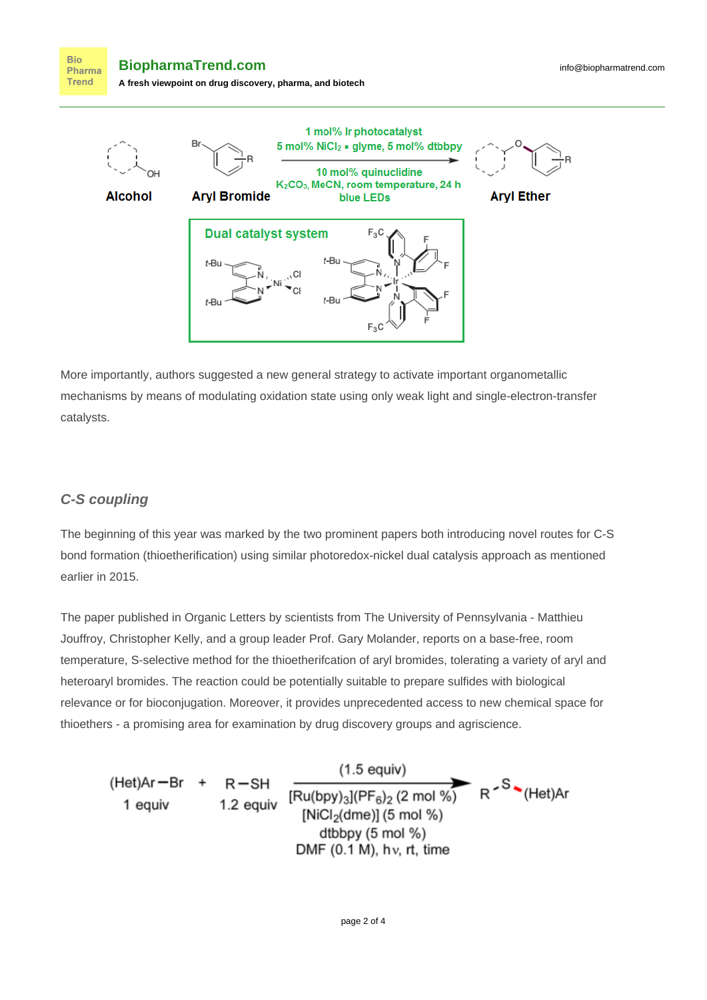**Bio BiopharmaTrend.com** Pharma **Trend A fresh viewpoint on drug discovery, pharma, and biotech**



More importantly, authors suggested a new general strategy to activate important organometallic mechanisms by means of modulating oxidation state using only weak light and single-electron-transfer catalysts.

## **C-S coupling**

The beginning of this year was marked by the two prominent papers both introducing novel routes for C-S bond formation (thioetherification) using similar photoredox-nickel dual catalysis approach as mentioned earlier in 2015.

The [paper published in Organic Letters](http://pubs.acs.org/doi/abs/10.1021/acs.orglett.6b00208) by scientists from The University of Pennsylvania - Matthieu Jouffroy, Christopher Kelly, and a group leader Prof. Gary Molander, reports on a base-free, room temperature, S-selective method for the thioetherifcation of aryl bromides, tolerating a variety of aryl and heteroaryl bromides. The reaction could be potentially suitable to prepare sulfides with biological relevance or for bioconjugation. Moreover, it provides unprecedented access to new chemical space for thioethers - a promising area for examination by drug discovery groups and agriscience.

(Het)Ar—Br + R—SH  
\n1 equiv  
\n1.2 equiv  
\n  
\n
$$
R^2 S^2 (Het)Ar
$$
\n(Het)Ar  
\n
$$
R^2 S^2 (Het)Ar
$$
\n(Het)Ar  
\n
$$
[NiCl_2(dme)] (5 mol %)
$$
\n(Het)Ar  
\n
$$
[NiCl_2(dme)] (5 mol %)
$$
\n(Het)Ar  
\n
$$
[NiCl_2(dme)] (5 mol %)
$$
\n(Het)Ar  
\n
$$
[NiCl_2(dme)] (5 mol %)
$$
\n(Het)Ar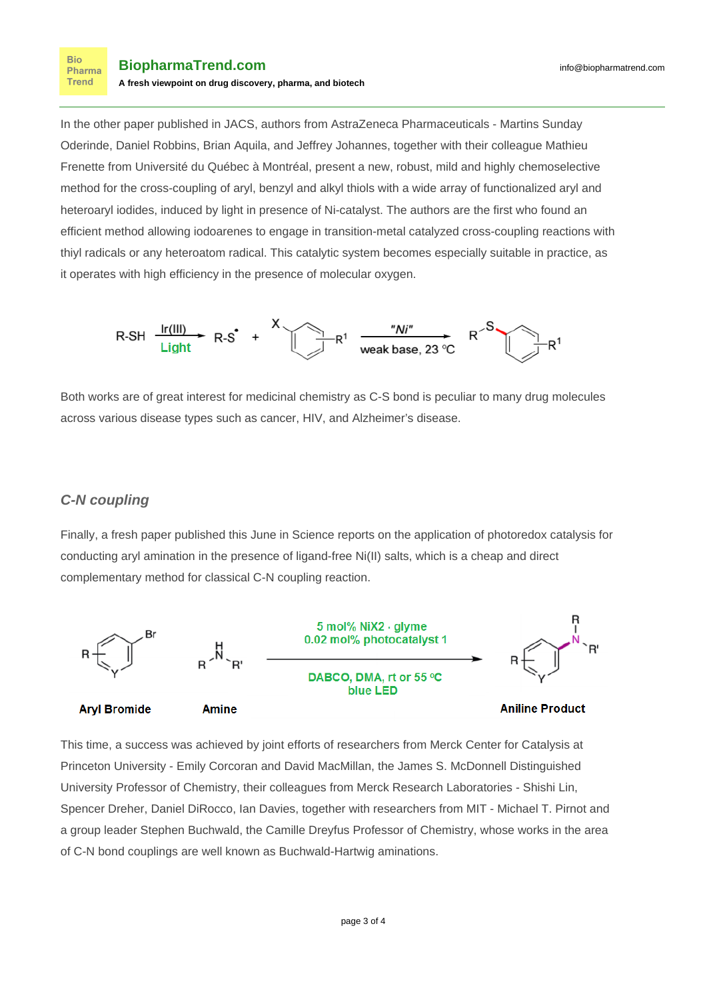In the other [paper published in JACS](http://pubs.acs.org/doi/abs/10.1021/jacs.5b11244), authors from AstraZeneca Pharmaceuticals - Martins Sunday Oderinde, Daniel Robbins, Brian Aquila, and Jeffrey Johannes, together with their colleague Mathieu Frenette from Université du Québec à Montréal, present a new, robust, mild and highly chemoselective method for the cross-coupling of aryl, benzyl and alkyl thiols with a wide array of functionalized aryl and heteroaryl iodides, induced by light in presence of Ni-catalyst. The authors are the first who found an efficient method allowing iodoarenes to engage in transition-metal catalyzed cross-coupling reactions with thiyl radicals or any heteroatom radical. This catalytic system becomes especially suitable in practice, as it operates with high efficiency in the presence of molecular oxygen.



Both works are of great interest for medicinal chemistry as C-S bond is peculiar to many drug molecules across various disease types such as cancer, HIV, and Alzheimer's disease.

#### **C-N coupling**

**Bio** Pharma **Trend** 

Finally, a [fresh paper published this June in Science](http://science.sciencemag.org/content/early/2016/06/22/science.aag0209) reports on the application of photoredox catalysis for conducting aryl amination in the presence of ligand-free Ni(II) salts, which is a cheap and direct complementary method for classical C-N coupling reaction.



This time, a success was achieved by joint efforts of researchers from Merck Center for Catalysis at Princeton University - Emily Corcoran and David MacMillan, the James S. McDonnell Distinguished University Professor of Chemistry, their colleagues from Merck Research Laboratories - Shishi Lin, Spencer Dreher, Daniel DiRocco, Ian Davies, together with researchers from MIT - Michael T. Pirnot and a group leader Stephen Buchwald, the Camille Dreyfus Professor of Chemistry, whose works in the area of C-N bond couplings are well known as Buchwald-Hartwig aminations.